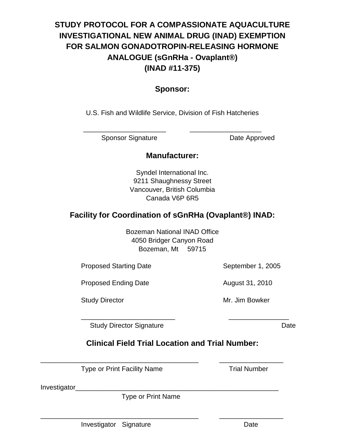# **STUDY PROTOCOL FOR A COMPASSIONATE AQUACULTURE INVESTIGATIONAL NEW ANIMAL DRUG (INAD) EXEMPTION FOR SALMON GONADOTROPIN-RELEASING HORMONE ANALOGUE (sGnRHa - Ovaplant®) (INAD #11-375)**

## **Sponsor:**

U.S. Fish and Wildlife Service, Division of Fish Hatcheries

\_\_\_\_\_\_\_\_\_\_\_\_\_\_\_\_\_\_\_\_\_\_ \_\_\_\_\_\_\_\_\_\_\_\_\_\_\_\_\_\_\_

Sponsor Signature Date Approved

## **Manufacturer:**

Syndel International Inc. 9211 Shaughnessy Street Vancouver, British Columbia Canada V6P 6R5

## **Facility for Coordination of sGnRHa (Ovaplant®) INAD:**

Bozeman National INAD Office 4050 Bridger Canyon Road Bozeman, Mt 59715

Proposed Starting Date September 1, 2005

Proposed Ending Date **August 31, 2010** 

Study Director **Mr. Jim Bowker** 

Study Director Signature **Date** Date

## **Clinical Field Trial Location and Trial Number:**

\_\_\_\_\_\_\_\_\_\_\_\_\_\_\_\_\_\_\_\_\_\_\_\_\_\_\_\_\_\_\_\_\_\_\_\_\_\_\_\_\_\_ \_\_\_\_\_\_\_\_\_\_\_\_\_\_\_\_\_

\_\_\_\_\_\_\_\_\_\_\_\_\_\_\_\_\_\_\_\_\_\_\_\_\_\_\_\_\_\_\_\_\_\_\_\_\_\_\_\_\_\_ \_\_\_\_\_\_\_\_\_\_\_\_\_\_\_\_\_

\_\_\_\_\_\_\_\_\_\_\_\_\_\_\_\_\_\_\_\_\_\_\_\_\_ \_\_\_\_\_\_\_\_\_\_\_\_\_\_\_\_

Type or Print Facility Name Trial Number

Investigator\_

Type or Print Name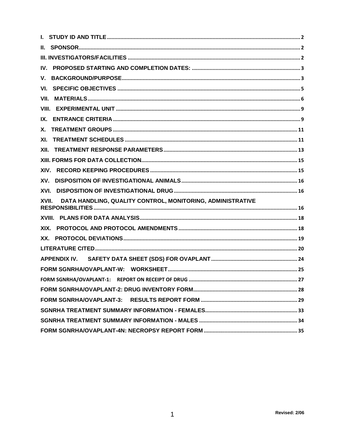| IV.                                                                 |
|---------------------------------------------------------------------|
| V.                                                                  |
| VI.                                                                 |
| VII.                                                                |
|                                                                     |
| IX.                                                                 |
| Х.                                                                  |
| XI.                                                                 |
| XII.                                                                |
|                                                                     |
| XIV.                                                                |
| XV.                                                                 |
| XVI.                                                                |
| DATA HANDLING, QUALITY CONTROL, MONITORING, ADMINISTRATIVE<br>XVII. |
|                                                                     |
| XIX.                                                                |
|                                                                     |
|                                                                     |
|                                                                     |
|                                                                     |
|                                                                     |
|                                                                     |
|                                                                     |
|                                                                     |
|                                                                     |
|                                                                     |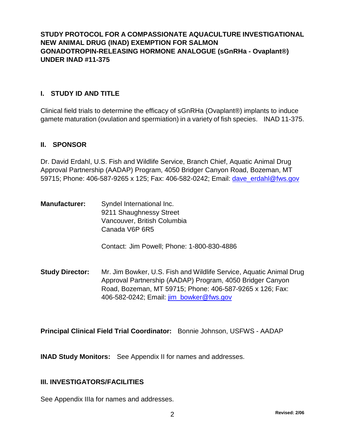## <span id="page-2-0"></span>**STUDY PROTOCOL FOR A COMPASSIONATE AQUACULTURE INVESTIGATIONAL NEW ANIMAL DRUG (INAD) EXEMPTION FOR SALMON GONADOTROPIN-RELEASING HORMONE ANALOGUE (sGnRHa - Ovaplant®) UNDER INAD #11-375**

#### **I. STUDY ID AND TITLE**

Clinical field trials to determine the efficacy of sGnRHa (Ovaplant®) implants to induce gamete maturation (ovulation and spermiation) in a variety of fish species. INAD 11-375.

#### **II. SPONSOR**

Dr. David Erdahl, U.S. Fish and Wildlife Service, Branch Chief, Aquatic Animal Drug Approval Partnership (AADAP) Program, 4050 Bridger Canyon Road, Bozeman, MT 59715; Phone: 406-587-9265 x 125; Fax: 406-582-0242; Email: dave\_erdahl@fws.gov

**Manufacturer:** Syndel International Inc. 9211 Shaughnessy Street Vancouver, British Columbia Canada V6P 6R5

Contact: Jim Powell; Phone: 1-800-830-4886

**Study Director:** Mr. Jim Bowker, U.S. Fish and Wildlife Service, Aquatic Animal Drug Approval Partnership (AADAP) Program, 4050 Bridger Canyon Road, Bozeman, MT 59715; Phone: 406-587-9265 x 126; Fax: 406-582-0242; Email: jim\_bowker@fws.gov

**Principal Clinical Field Trial Coordinator:** Bonnie Johnson, USFWS - AADAP

**INAD Study Monitors:** See Appendix II for names and addresses.

#### **III. INVESTIGATORS/FACILITIES**

See Appendix IIIa for names and addresses.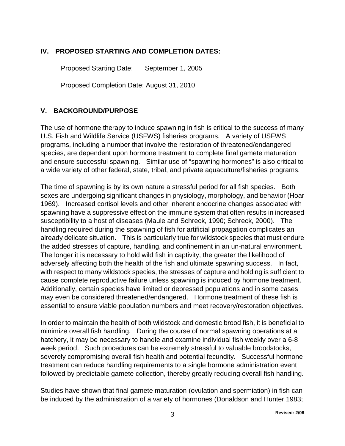## <span id="page-3-0"></span>**IV. PROPOSED STARTING AND COMPLETION DATES:**

Proposed Starting Date: September 1, 2005

Proposed Completion Date: August 31, 2010

## **V. BACKGROUND/PURPOSE**

The use of hormone therapy to induce spawning in fish is critical to the success of many U.S. Fish and Wildlife Service (USFWS) fisheries programs. A variety of USFWS programs, including a number that involve the restoration of threatened/endangered species, are dependent upon hormone treatment to complete final gamete maturation and ensure successful spawning. Similar use of "spawning hormones" is also critical to a wide variety of other federal, state, tribal, and private aquaculture/fisheries programs.

The time of spawning is by its own nature a stressful period for all fish species. Both sexes are undergoing significant changes in physiology, morphology, and behavior (Hoar 1969). Increased cortisol levels and other inherent endocrine changes associated with spawning have a suppressive effect on the immune system that often results in increased susceptibility to a host of diseases (Maule and Schreck, 1990; Schreck, 2000). The handling required during the spawning of fish for artificial propagation complicates an already delicate situation. This is particularly true for wildstock species that must endure the added stresses of capture, handling, and confinement in an un-natural environment. The longer it is necessary to hold wild fish in captivity, the greater the likelihood of adversely affecting both the health of the fish and ultimate spawning success. In fact, with respect to many wildstock species, the stresses of capture and holding is sufficient to cause complete reproductive failure unless spawning is induced by hormone treatment. Additionally, certain species have limited or depressed populations and in some cases may even be considered threatened/endangered. Hormone treatment of these fish is essential to ensure viable population numbers and meet recovery/restoration objectives.

In order to maintain the health of both wildstock and domestic brood fish, it is beneficial to minimize overall fish handling. During the course of normal spawning operations at a hatchery, it may be necessary to handle and examine individual fish weekly over a 6-8 week period. Such procedures can be extremely stressful to valuable broodstocks, severely compromising overall fish health and potential fecundity. Successful hormone treatment can reduce handling requirements to a single hormone administration event followed by predictable gamete collection, thereby greatly reducing overall fish handling.

Studies have shown that final gamete maturation (ovulation and spermiation) in fish can be induced by the administration of a variety of hormones (Donaldson and Hunter 1983;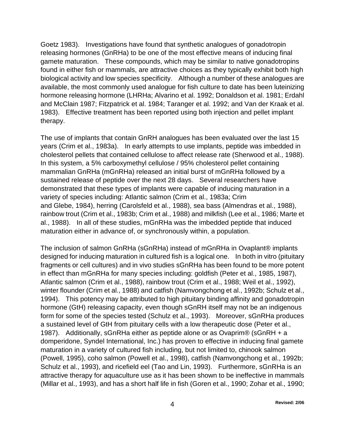Goetz 1983). Investigations have found that synthetic analogues of gonadotropin releasing hormones (GnRHa) to be one of the most effective means of inducing final gamete maturation. These compounds, which may be similar to native gonadotropins found in either fish or mammals, are attractive choices as they typically exhibit both high biological activity and low species specificity. Although a number of these analogues are available, the most commonly used analogue for fish culture to date has been luteinizing hormone releasing hormone (LHRHa; Alvarino et al. 1992; Donaldson et al. 1981; Erdahl and McClain 1987; Fitzpatrick et al. 1984; Taranger et al. 1992; and Van der Kraak et al. 1983). Effective treatment has been reported using both injection and pellet implant therapy.

The use of implants that contain GnRH analogues has been evaluated over the last 15 years (Crim et al., 1983a). In early attempts to use implants, peptide was imbedded in cholesterol pellets that contained cellulose to affect release rate (Sherwood et al., 1988). In this system, a 5% carboxymethyl cellulose / 95% cholesterol pellet containing mammalian GnRHa (mGnRHa) released an initial burst of mGnRHa followed by a sustained release of peptide over the next 28 days. Several researchers have demonstrated that these types of implants were capable of inducing maturation in a variety of species including: Atlantic salmon (Crim et al., 1983a; Crim and Glebe, 1984), herring (Carolsfeld et al., 1988), sea bass (Almendras et al., 1988), rainbow trout (Crim et al., 1983b; Crim et al., 1988) and milkfish (Lee et al., 1986; Marte et al., 1988). In all of these studies, mGnRHa was the imbedded peptide that induced maturation either in advance of, or synchronously within, a population.

The inclusion of salmon GnRHa (sGnRHa) instead of mGnRHa in Ovaplant® implants designed for inducing maturation in cultured fish is a logical one. In both in vitro (pituitary fragments or cell cultures) and in vivo studies sGnRHa has been found to be more potent in effect than mGnRHa for many species including: goldfish (Peter et al., 1985, 1987), Atlantic salmon (Crim et al., 1988), rainbow trout (Crim et al., 1988; Weil et al., 1992), winter flounder (Crim et al., 1988) and catfish (Namvongchong et al., 1992b; Schulz et al., 1994). This potency may be attributed to high pituitary binding affinity and gonadotropin hormone (GtH) releasing capacity, even though sGnRH itself may not be an indigenous form for some of the species tested (Schulz et al., 1993). Moreover, sGnRHa produces a sustained level of GtH from pituitary cells with a low therapeutic dose (Peter et al., 1987). Additionally, sGnRHa either as peptide alone or as Ovaprim® (sGnRH + a domperidone, Syndel International, Inc.) has proven to effective in inducing final gamete maturation in a variety of cultured fish including, but not limited to, chinook salmon (Powell, 1995), coho salmon (Powell et al., 1998), catfish (Namvongchong et al., 1992b; Schulz et al., 1993), and ricefield eel (Tao and Lin, 1993). Furthermore, sGnRHa is an attractive therapy for aquaculture use as it has been shown to be ineffective in mammals (Millar et al., 1993), and has a short half life in fish (Goren et al., 1990; Zohar et al., 1990;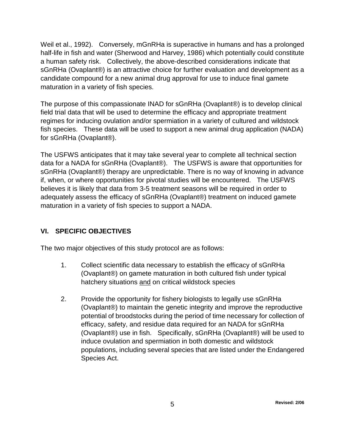<span id="page-5-0"></span>Weil et al., 1992). Conversely, mGnRHa is superactive in humans and has a prolonged half-life in fish and water (Sherwood and Harvey, 1986) which potentially could constitute a human safety risk. Collectively, the above-described considerations indicate that sGnRHa (Ovaplant®) is an attractive choice for further evaluation and development as a candidate compound for a new animal drug approval for use to induce final gamete maturation in a variety of fish species.

The purpose of this compassionate INAD for sGnRHa (Ovaplant®) is to develop clinical field trial data that will be used to determine the efficacy and appropriate treatment regimes for inducing ovulation and/or spermiation in a variety of cultured and wildstock fish species. These data will be used to support a new animal drug application (NADA) for sGnRHa (Ovaplant®).

The USFWS anticipates that it may take several year to complete all technical section data for a NADA for sGnRHa (Ovaplant®). The USFWS is aware that opportunities for sGnRHa (Ovaplant®) therapy are unpredictable. There is no way of knowing in advance if, when, or where opportunities for pivotal studies will be encountered. The USFWS believes it is likely that data from 3-5 treatment seasons will be required in order to adequately assess the efficacy of sGnRHa (Ovaplant®) treatment on induced gamete maturation in a variety of fish species to support a NADA.

## **VI. SPECIFIC OBJECTIVES**

The two major objectives of this study protocol are as follows:

- 1. Collect scientific data necessary to establish the efficacy of sGnRHa (Ovaplant®) on gamete maturation in both cultured fish under typical hatchery situations and on critical wildstock species
- 2. Provide the opportunity for fishery biologists to legally use sGnRHa (Ovaplant®) to maintain the genetic integrity and improve the reproductive potential of broodstocks during the period of time necessary for collection of efficacy, safety, and residue data required for an NADA for sGnRHa (Ovaplant®) use in fish. Specifically, sGnRHa (Ovaplant®) will be used to induce ovulation and spermiation in both domestic and wildstock populations, including several species that are listed under the Endangered Species Act.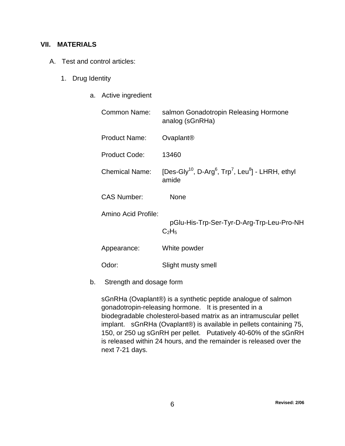#### <span id="page-6-0"></span>**VII. MATERIALS**

- A. Test and control articles:
	- 1. Drug Identity
		- a. Active ingredient

| salmon Gonadotropin Releasing Hormone<br>analog (sGnRHa)                                                   |
|------------------------------------------------------------------------------------------------------------|
| Ovaplant <sup>®</sup>                                                                                      |
| 13460                                                                                                      |
| [Des-Gly <sup>10</sup> , D-Arg <sup>6</sup> , Trp <sup>7</sup> , Leu <sup>8</sup> ] - LHRH, ethyl<br>amide |
| None                                                                                                       |
| pGlu-His-Trp-Ser-Tyr-D-Arg-Trp-Leu-Pro-NH<br>$C_2H_5$                                                      |
| White powder                                                                                               |
| Slight musty smell                                                                                         |
|                                                                                                            |

b. Strength and dosage form

sGnRHa (Ovaplant®) is a synthetic peptide analogue of salmon gonadotropin-releasing hormone. It is presented in a biodegradable cholesterol-based matrix as an intramuscular pellet implant. sGnRHa (Ovaplant®) is available in pellets containing 75, 150, or 250 ug sGnRH per pellet. Putatively 40-60% of the sGnRH is released within 24 hours, and the remainder is released over the next 7-21 days.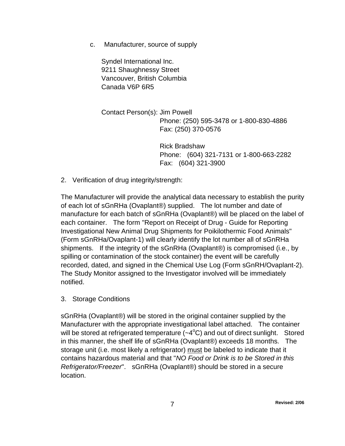c. Manufacturer, source of supply

Syndel International Inc. 9211 Shaughnessy Street Vancouver, British Columbia Canada V6P 6R5

Contact Person(s): Jim Powell Phone: (250) 595-3478 or 1-800-830-4886 Fax: (250) 370-0576

> Rick Bradshaw Phone: (604) 321-7131 or 1-800-663-2282 Fax: (604) 321-3900

2. Verification of drug integrity/strength:

The Manufacturer will provide the analytical data necessary to establish the purity of each lot of sGnRHa (Ovaplant®) supplied. The lot number and date of manufacture for each batch of sGnRHa (Ovaplant®) will be placed on the label of each container. The form "Report on Receipt of Drug - Guide for Reporting Investigational New Animal Drug Shipments for Poikilothermic Food Animals" (Form sGnRHa/Ovaplant-1) will clearly identify the lot number all of sGnRHa shipments. If the integrity of the sGnRHa (Ovaplant®) is compromised (i.e., by spilling or contamination of the stock container) the event will be carefully recorded, dated, and signed in the Chemical Use Log (Form sGnRH/Ovaplant-2). The Study Monitor assigned to the Investigator involved will be immediately notified.

3. Storage Conditions

sGnRHa (Ovaplant®) will be stored in the original container supplied by the Manufacturer with the appropriate investigational label attached. The container will be stored at refrigerated temperature  $({\sim}4^{\circ}C)$  and out of direct sunlight. Stored in this manner, the shelf life of sGnRHa (Ovaplant®) exceeds 18 months. The storage unit (i.e. most likely a refrigerator) must be labeled to indicate that it contains hazardous material and that "*NO Food or Drink is to be Stored in this Refrigerator/Freezer*". sGnRHa (Ovaplant®) should be stored in a secure location.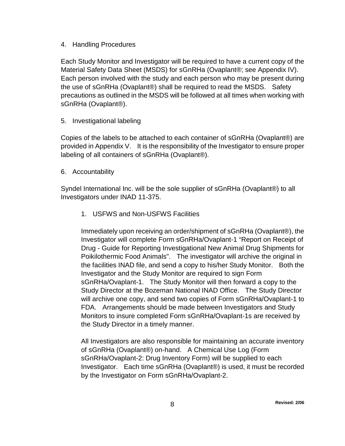#### 4. Handling Procedures

Each Study Monitor and Investigator will be required to have a current copy of the Material Safety Data Sheet (MSDS) for sGnRHa (Ovaplant®; see Appendix IV). Each person involved with the study and each person who may be present during the use of sGnRHa (Ovaplant®) shall be required to read the MSDS. Safety precautions as outlined in the MSDS will be followed at all times when working with sGnRHa (Ovaplant®).

5. Investigational labeling

Copies of the labels to be attached to each container of sGnRHa (Ovaplant®) are provided in Appendix V. It is the responsibility of the Investigator to ensure proper labeling of all containers of sGnRHa (Ovaplant®).

6. Accountability

Syndel International Inc. will be the sole supplier of sGnRHa (Ovaplant®) to all Investigators under INAD 11-375.

1. USFWS and Non-USFWS Facilities

Immediately upon receiving an order/shipment of sGnRHa (Ovaplant®), the Investigator will complete Form sGnRHa/Ovaplant-1 "Report on Receipt of Drug - Guide for Reporting Investigational New Animal Drug Shipments for Poikilothermic Food Animals". The investigator will archive the original in the facilities INAD file, and send a copy to his/her Study Monitor. Both the Investigator and the Study Monitor are required to sign Form sGnRHa/Ovaplant-1. The Study Monitor will then forward a copy to the Study Director at the Bozeman National INAD Office. The Study Director will archive one copy, and send two copies of Form sGnRHa/Ovaplant-1 to FDA. Arrangements should be made between Investigators and Study Monitors to insure completed Form sGnRHa/Ovaplant-1s are received by the Study Director in a timely manner.

All Investigators are also responsible for maintaining an accurate inventory of sGnRHa (Ovaplant®) on-hand. A Chemical Use Log (Form sGnRHa/Ovaplant-2: Drug Inventory Form) will be supplied to each Investigator. Each time sGnRHa (Ovaplant®) is used, it must be recorded by the Investigator on Form sGnRHa/Ovaplant-2.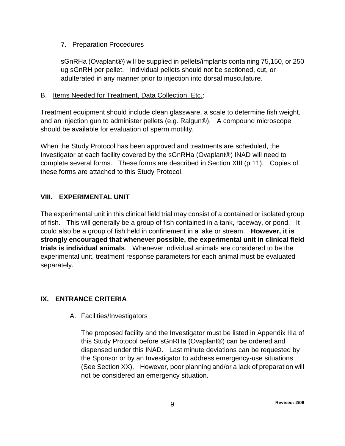### <span id="page-9-0"></span>7. Preparation Procedures

sGnRHa (Ovaplant®) will be supplied in pellets/implants containing 75,150, or 250 ug sGnRH per pellet. Individual pellets should not be sectioned, cut, or adulterated in any manner prior to injection into dorsal musculature.

#### B. Items Needed for Treatment, Data Collection, Etc.:

Treatment equipment should include clean glassware, a scale to determine fish weight, and an injection gun to administer pellets (e.g. Ralgun®). A compound microscope should be available for evaluation of sperm motility.

When the Study Protocol has been approved and treatments are scheduled, the Investigator at each facility covered by the sGnRHa (Ovaplant®) INAD will need to complete several forms. These forms are described in Section XIII (p 11). Copies of these forms are attached to this Study Protocol.

## **VIII. EXPERIMENTAL UNIT**

The experimental unit in this clinical field trial may consist of a contained or isolated group of fish. This will generally be a group of fish contained in a tank, raceway, or pond. It could also be a group of fish held in confinement in a lake or stream. **However, it is strongly encouraged that whenever possible, the experimental unit in clinical field trials is individual animals**. Whenever individual animals are considered to be the experimental unit, treatment response parameters for each animal must be evaluated separately.

## **IX. ENTRANCE CRITERIA**

A. Facilities/Investigators

The proposed facility and the Investigator must be listed in Appendix IIIa of this Study Protocol before sGnRHa (Ovaplant®) can be ordered and dispensed under this INAD. Last minute deviations can be requested by the Sponsor or by an Investigator to address emergency-use situations (See Section XX). However, poor planning and/or a lack of preparation will not be considered an emergency situation.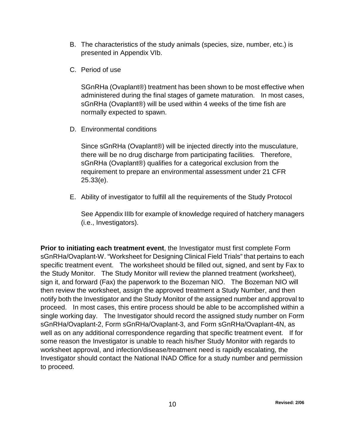- B. The characteristics of the study animals (species, size, number, etc.) is presented in Appendix VIb.
- C. Period of use

SGnRHa (Ovaplant®) treatment has been shown to be most effective when administered during the final stages of gamete maturation. In most cases, sGnRHa (Ovaplant®) will be used within 4 weeks of the time fish are normally expected to spawn.

D. Environmental conditions

Since sGnRHa (Ovaplant®) will be injected directly into the musculature, there will be no drug discharge from participating facilities. Therefore, sGnRHa (Ovaplant®) qualifies for a categorical exclusion from the requirement to prepare an environmental assessment under 21 CFR 25.33(e).

E. Ability of investigator to fulfill all the requirements of the Study Protocol

See Appendix IIIb for example of knowledge required of hatchery managers (i.e., Investigators).

**Prior to initiating each treatment event**, the Investigator must first complete Form sGnRHa/Ovaplant-W. "Worksheet for Designing Clinical Field Trials" that pertains to each specific treatment event. The worksheet should be filled out, signed, and sent by Fax to the Study Monitor. The Study Monitor will review the planned treatment (worksheet), sign it, and forward (Fax) the paperwork to the Bozeman NIO. The Bozeman NIO will then review the worksheet, assign the approved treatment a Study Number, and then notify both the Investigator and the Study Monitor of the assigned number and approval to proceed. In most cases, this entire process should be able to be accomplished within a single working day. The Investigator should record the assigned study number on Form sGnRHa/Ovaplant-2, Form sGnRHa/Ovaplant-3, and Form sGnRHa/Ovaplant-4N, as well as on any additional correspondence regarding that specific treatment event. If for some reason the Investigator is unable to reach his/her Study Monitor with regards to worksheet approval, and infection/disease/treatment need is rapidly escalating, the Investigator should contact the National INAD Office for a study number and permission to proceed.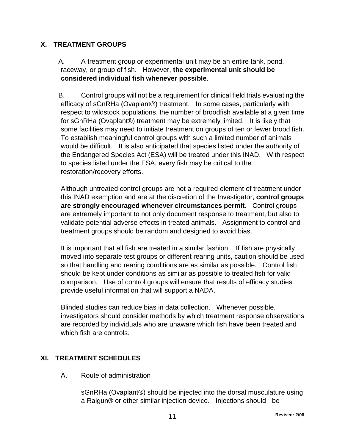## <span id="page-11-0"></span>**X. TREATMENT GROUPS**

 A. A treatment group or experimental unit may be an entire tank, pond, raceway, or group of fish. However, **the experimental unit should be considered individual fish whenever possible**.

 B. Control groups will not be a requirement for clinical field trials evaluating the efficacy of sGnRHa (Ovaplant®) treatment. In some cases, particularly with respect to wildstock populations, the number of broodfish available at a given time for sGnRHa (Ovaplant®) treatment may be extremely limited. It is likely that some facilities may need to initiate treatment on groups of ten or fewer brood fish. To establish meaningful control groups with such a limited number of animals would be difficult. It is also anticipated that species listed under the authority of the Endangered Species Act (ESA) will be treated under this INAD. With respect to species listed under the ESA, every fish may be critical to the restoration/recovery efforts.

Although untreated control groups are not a required element of treatment under this INAD exemption and are at the discretion of the Investigator, **control groups are strongly encouraged whenever circumstances permit**. Control groups are extremely important to not only document response to treatment, but also to validate potential adverse effects in treated animals. Assignment to control and treatment groups should be random and designed to avoid bias.

It is important that all fish are treated in a similar fashion. If fish are physically moved into separate test groups or different rearing units, caution should be used so that handling and rearing conditions are as similar as possible. Control fish should be kept under conditions as similar as possible to treated fish for valid comparison. Use of control groups will ensure that results of efficacy studies provide useful information that will support a NADA.

Blinded studies can reduce bias in data collection. Whenever possible, investigators should consider methods by which treatment response observations are recorded by individuals who are unaware which fish have been treated and which fish are controls.

## **XI. TREATMENT SCHEDULES**

A. Route of administration

sGnRHa (Ovaplant®) should be injected into the dorsal musculature using a Ralgun® or other similar injection device. Injections should be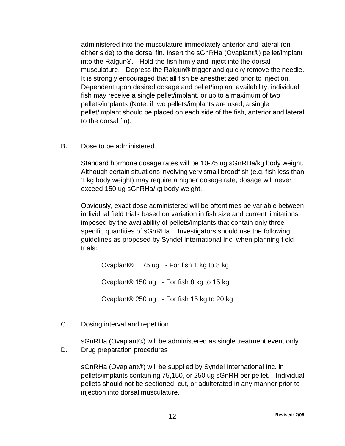administered into the musculature immediately anterior and lateral (on either side) to the dorsal fin. Insert the sGnRHa (Ovaplant®) pellet/implant into the Ralgun®. Hold the fish firmly and inject into the dorsal musculature. Depress the Ralgun® trigger and quicky remove the needle. It is strongly encouraged that all fish be anesthetized prior to injection. Dependent upon desired dosage and pellet/implant availability, individual fish may receive a single pellet/implant, or up to a maximum of two pellets/implants (Note: if two pellets/implants are used, a single pellet/implant should be placed on each side of the fish, anterior and lateral to the dorsal fin).

B. Dose to be administered

Standard hormone dosage rates will be 10-75 ug sGnRHa/kg body weight. Although certain situations involving very small broodfish (e.g. fish less than 1 kg body weight) may require a higher dosage rate, dosage will never exceed 150 ug sGnRHa/kg body weight.

Obviously, exact dose administered will be oftentimes be variable between individual field trials based on variation in fish size and current limitations imposed by the availability of pellets/implants that contain only three specific quantities of sGnRHa. Investigators should use the following guidelines as proposed by Syndel International Inc. when planning field trials:

Ovaplant® 75 ug - For fish 1 kg to 8 kg Ovaplant® 150 ug - For fish 8 kg to 15 kg Ovaplant® 250 ug - For fish 15 kg to 20 kg

C. Dosing interval and repetition

sGnRHa (Ovaplant®) will be administered as single treatment event only.

D. Drug preparation procedures

sGnRHa (Ovaplant®) will be supplied by Syndel International Inc. in pellets/implants containing 75,150, or 250 ug sGnRH per pellet. Individual pellets should not be sectioned, cut, or adulterated in any manner prior to injection into dorsal musculature.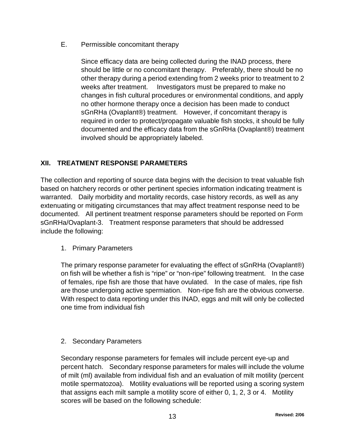<span id="page-13-0"></span>E. Permissible concomitant therapy

Since efficacy data are being collected during the INAD process, there should be little or no concomitant therapy. Preferably, there should be no other therapy during a period extending from 2 weeks prior to treatment to 2 weeks after treatment. Investigators must be prepared to make no changes in fish cultural procedures or environmental conditions, and apply no other hormone therapy once a decision has been made to conduct sGnRHa (Ovaplant®) treatment. However, if concomitant therapy is required in order to protect/propagate valuable fish stocks, it should be fully documented and the efficacy data from the sGnRHa (Ovaplant®) treatment involved should be appropriately labeled.

## **XII. TREATMENT RESPONSE PARAMETERS**

The collection and reporting of source data begins with the decision to treat valuable fish based on hatchery records or other pertinent species information indicating treatment is warranted. Daily morbidity and mortality records, case history records, as well as any extenuating or mitigating circumstances that may affect treatment response need to be documented. All pertinent treatment response parameters should be reported on Form sGnRHa/Ovaplant-3. Treatment response parameters that should be addressed include the following:

1. Primary Parameters

The primary response parameter for evaluating the effect of sGnRHa (Ovaplant®) on fish will be whether a fish is "ripe" or "non-ripe" following treatment. In the case of females, ripe fish are those that have ovulated. In the case of males, ripe fish are those undergoing active spermiation. Non-ripe fish are the obvious converse. With respect to data reporting under this INAD, eggs and milt will only be collected one time from individual fish

2. Secondary Parameters

Secondary response parameters for females will include percent eye-up and percent hatch. Secondary response parameters for males will include the volume of milt (ml) available from individual fish and an evaluation of milt motility (percent motile spermatozoa). Motility evaluations will be reported using a scoring system that assigns each milt sample a motility score of either 0, 1, 2, 3 or 4. Motility scores will be based on the following schedule: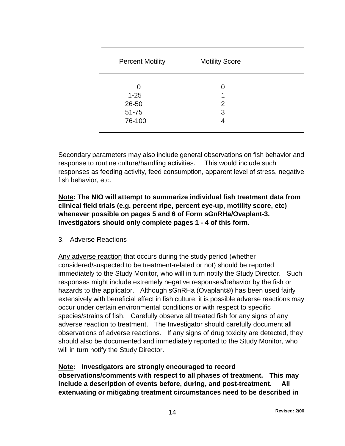| <b>Percent Motility</b>                   | <b>Motility Score</b> |  |
|-------------------------------------------|-----------------------|--|
| 0<br>$1 - 25$<br>26-50<br>51-75<br>76-100 | 0<br>2<br>3<br>4      |  |

Secondary parameters may also include general observations on fish behavior and response to routine culture/handling activities. This would include such responses as feeding activity, feed consumption, apparent level of stress, negative fish behavior, etc.

## **Note: The NIO will attempt to summarize individual fish treatment data from clinical field trials (e.g. percent ripe, percent eye-up, motility score, etc) whenever possible on pages 5 and 6 of Form sGnRHa/Ovaplant-3. Investigators should only complete pages 1 - 4 of this form.**

3. Adverse Reactions

 $\overline{a}$ 

Any adverse reaction that occurs during the study period (whether considered/suspected to be treatment-related or not) should be reported immediately to the Study Monitor, who will in turn notify the Study Director. Such responses might include extremely negative responses/behavior by the fish or hazards to the applicator. Although sGnRHa (Ovaplant®) has been used fairly extensively with beneficial effect in fish culture, it is possible adverse reactions may occur under certain environmental conditions or with respect to specific species/strains of fish. Carefully observe all treated fish for any signs of any adverse reaction to treatment. The Investigator should carefully document all observations of adverse reactions. If any signs of drug toxicity are detected, they should also be documented and immediately reported to the Study Monitor, who will in turn notify the Study Director.

**Note: Investigators are strongly encouraged to record observations/comments with respect to all phases of treatment. This may include a description of events before, during, and post-treatment. All extenuating or mitigating treatment circumstances need to be described in**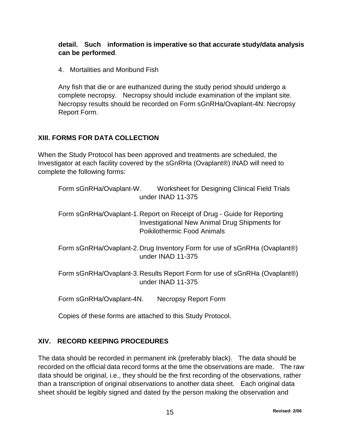### <span id="page-15-0"></span>**detail. Such information is imperative so that accurate study/data analysis can be performed**.

4. Mortalities and Moribund Fish

Any fish that die or are euthanized during the study period should undergo a complete necropsy. Necropsy should include examination of the implant site. Necropsy results should be recorded on Form sGnRHa/Ovaplant-4N: Necropsy Report Form.

## **XIII. FORMS FOR DATA COLLECTION**

When the Study Protocol has been approved and treatments are scheduled, the Investigator at each facility covered by the sGnRHa (Ovaplant®) INAD will need to complete the following forms:

| Form sGnRHa/Ovaplant-W. | Worksheet for Designing Clinical Field Trials |
|-------------------------|-----------------------------------------------|
|                         | under INAD 11-375                             |

Form sGnRHa/Ovaplant-1.Report on Receipt of Drug - Guide for Reporting Investigational New Animal Drug Shipments for Poikilothermic Food Animals

Form sGnRHa/Ovaplant-2.Drug Inventory Form for use of sGnRHa (Ovaplant®) under INAD 11-375

Form sGnRHa/Ovaplant-3.Results Report Form for use of sGnRHa (Ovaplant®) under INAD 11-375

Form sGnRHa/Ovaplant-4N. Necropsy Report Form

Copies of these forms are attached to this Study Protocol.

## **XIV. RECORD KEEPING PROCEDURES**

The data should be recorded in permanent ink (preferably black). The data should be recorded on the official data record forms at the time the observations are made. The raw data should be original, i.e., they should be the first recording of the observations, rather than a transcription of original observations to another data sheet. Each original data sheet should be legibly signed and dated by the person making the observation and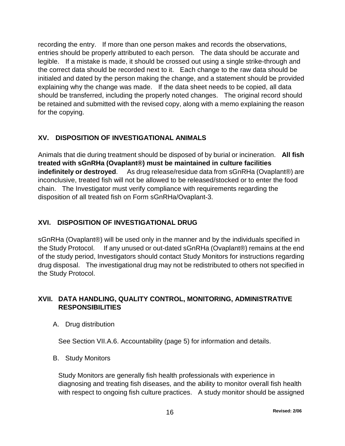<span id="page-16-0"></span>recording the entry. If more than one person makes and records the observations, entries should be properly attributed to each person. The data should be accurate and legible. If a mistake is made, it should be crossed out using a single strike-through and the correct data should be recorded next to it. Each change to the raw data should be initialed and dated by the person making the change, and a statement should be provided explaining why the change was made. If the data sheet needs to be copied, all data should be transferred, including the properly noted changes. The original record should be retained and submitted with the revised copy, along with a memo explaining the reason for the copying.

## **XV. DISPOSITION OF INVESTIGATIONAL ANIMALS**

Animals that die during treatment should be disposed of by burial or incineration. **All fish treated with sGnRHa (Ovaplant®) must be maintained in culture facilities indefinitely or destroyed**. As drug release/residue data from sGnRHa (Ovaplant®) are inconclusive, treated fish will not be allowed to be released/stocked or to enter the food chain. The Investigator must verify compliance with requirements regarding the disposition of all treated fish on Form sGnRHa/Ovaplant-3.

## **XVI. DISPOSITION OF INVESTIGATIONAL DRUG**

sGnRHa (Ovaplant®) will be used only in the manner and by the individuals specified in the Study Protocol. If any unused or out-dated sGnRHa (Ovaplant®) remains at the end of the study period, Investigators should contact Study Monitors for instructions regarding drug disposal. The investigational drug may not be redistributed to others not specified in the Study Protocol.

## **XVII. DATA HANDLING, QUALITY CONTROL, MONITORING, ADMINISTRATIVE RESPONSIBILITIES**

## A. Drug distribution

See Section VII.A.6. Accountability (page 5) for information and details.

## B. Study Monitors

Study Monitors are generally fish health professionals with experience in diagnosing and treating fish diseases, and the ability to monitor overall fish health with respect to ongoing fish culture practices. A study monitor should be assigned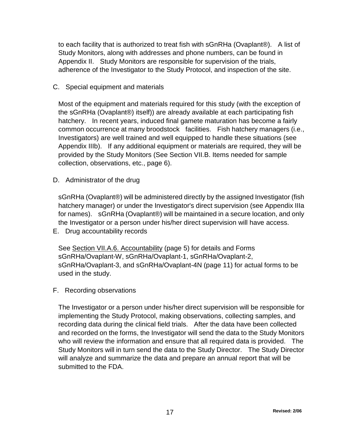to each facility that is authorized to treat fish with sGnRHa (Ovaplant®). A list of Study Monitors, along with addresses and phone numbers, can be found in Appendix II. Study Monitors are responsible for supervision of the trials, adherence of the Investigator to the Study Protocol, and inspection of the site.

#### C. Special equipment and materials

Most of the equipment and materials required for this study (with the exception of the sGnRHa (Ovaplant®) itself)) are already available at each participating fish hatchery. In recent years, induced final gamete maturation has become a fairly common occurrence at many broodstock facilities. Fish hatchery managers (i.e., Investigators) are well trained and well equipped to handle these situations (see Appendix IIIb). If any additional equipment or materials are required, they will be provided by the Study Monitors (See Section VII.B. Items needed for sample collection, observations, etc., page 6).

D. Administrator of the drug

sGnRHa (Ovaplant®) will be administered directly by the assigned Investigator (fish hatchery manager) or under the Investigator's direct supervision (see Appendix IIIa for names). sGnRHa (Ovaplant®) will be maintained in a secure location, and only the Investigator or a person under his/her direct supervision will have access.

E. Drug accountability records

See Section VII.A.6. Accountability (page 5) for details and Forms sGnRHa/Ovaplant-W, sGnRHa/Ovaplant-1, sGnRHa/Ovaplant-2, sGnRHa/Ovaplant-3, and sGnRHa/Ovaplant-4N (page 11) for actual forms to be used in the study.

F. Recording observations

The Investigator or a person under his/her direct supervision will be responsible for implementing the Study Protocol, making observations, collecting samples, and recording data during the clinical field trials. After the data have been collected and recorded on the forms, the Investigator will send the data to the Study Monitors who will review the information and ensure that all required data is provided. The Study Monitors will in turn send the data to the Study Director. The Study Director will analyze and summarize the data and prepare an annual report that will be submitted to the FDA.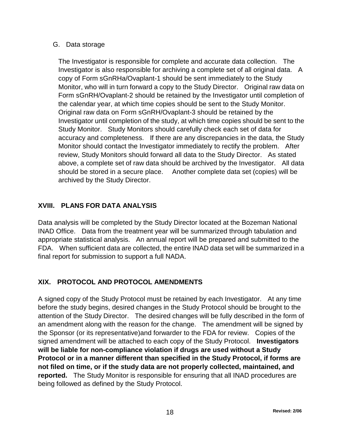#### <span id="page-18-0"></span>G. Data storage

The Investigator is responsible for complete and accurate data collection. The Investigator is also responsible for archiving a complete set of all original data. A copy of Form sGnRHa/Ovaplant-1 should be sent immediately to the Study Monitor, who will in turn forward a copy to the Study Director. Original raw data on Form sGnRH/Ovaplant-2 should be retained by the Investigator until completion of the calendar year, at which time copies should be sent to the Study Monitor. Original raw data on Form sGnRH/Ovaplant-3 should be retained by the Investigator until completion of the study, at which time copies should be sent to the Study Monitor. Study Monitors should carefully check each set of data for accuracy and completeness. If there are any discrepancies in the data, the Study Monitor should contact the Investigator immediately to rectify the problem. After review, Study Monitors should forward all data to the Study Director. As stated above, a complete set of raw data should be archived by the Investigator. All data should be stored in a secure place. Another complete data set (copies) will be archived by the Study Director.

## **XVIII. PLANS FOR DATA ANALYSIS**

Data analysis will be completed by the Study Director located at the Bozeman National INAD Office. Data from the treatment year will be summarized through tabulation and appropriate statistical analysis. An annual report will be prepared and submitted to the FDA. When sufficient data are collected, the entire INAD data set will be summarized in a final report for submission to support a full NADA.

## **XIX. PROTOCOL AND PROTOCOL AMENDMENTS**

A signed copy of the Study Protocol must be retained by each Investigator. At any time before the study begins, desired changes in the Study Protocol should be brought to the attention of the Study Director. The desired changes will be fully described in the form of an amendment along with the reason for the change. The amendment will be signed by the Sponsor (or its representative)and forwarder to the FDA for review. Copies of the signed amendment will be attached to each copy of the Study Protocol. **Investigators will be liable for non-compliance violation if drugs are used without a Study Protocol or in a manner different than specified in the Study Protocol, if forms are not filed on time, or if the study data are not properly collected, maintained, and reported.** The Study Monitor is responsible for ensuring that all INAD procedures are being followed as defined by the Study Protocol.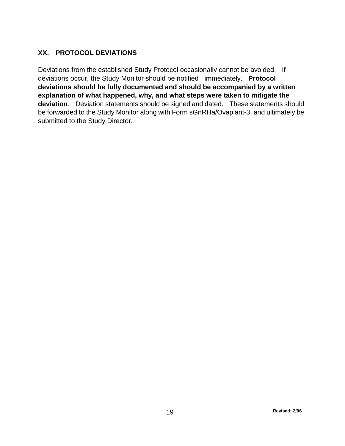## <span id="page-19-0"></span>**XX. PROTOCOL DEVIATIONS**

Deviations from the established Study Protocol occasionally cannot be avoided. If deviations occur, the Study Monitor should be notified immediately. **Protocol deviations should be fully documented and should be accompanied by a written explanation of what happened, why, and what steps were taken to mitigate the deviation**. Deviation statements should be signed and dated. These statements should be forwarded to the Study Monitor along with Form sGnRHa/Ovaplant-3, and ultimately be submitted to the Study Director.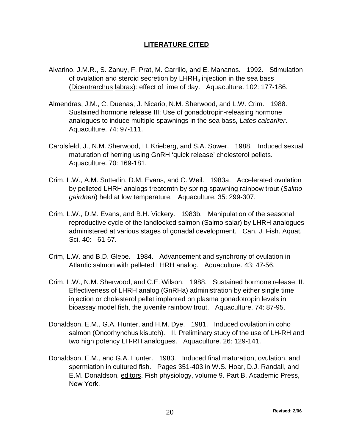#### **LITERATURE CITED**

- <span id="page-20-0"></span>Alvarino, J.M.R., S. Zanuy, F. Prat, M. Carrillo, and E. Mananos. 1992. Stimulation of ovulation and steroid secretion by  $LHRH<sub>a</sub>$  injection in the sea bass (Dicentrarchus labrax): effect of time of day. Aquaculture. 102: 177-186.
- Almendras, J.M., C. Duenas, J. Nicario, N.M. Sherwood, and L.W. Crim. 1988. Sustained hormone release III: Use of gonadotropin-releasing hormone analogues to induce multiple spawnings in the sea bass, *Lates calcarifer*. Aquaculture. 74: 97-111.
- Carolsfeld, J., N.M. Sherwood, H. Krieberg, and S.A. Sower. 1988. Induced sexual maturation of herring using GnRH 'quick release' cholesterol pellets. Aquaculture. 70: 169-181.
- Crim, L.W., A.M. Sutterlin, D.M. Evans, and C. Weil. 1983a. Accelerated ovulation by pelleted LHRH analogs treatemtn by spring-spawning rainbow trout (*Salmo gairdneri*) held at low temperature. Aquaculture. 35: 299-307.
- Crim, L.W., D.M. Evans, and B.H. Vickery. 1983b. Manipulation of the seasonal reproductive cycle of the landlocked salmon (Salmo salar) by LHRH analogues administered at various stages of gonadal development. Can. J. Fish. Aquat. Sci. 40: 61-67.
- Crim, L.W. and B.D. Glebe. 1984. Advancement and synchrony of ovulation in Atlantic salmon with pelleted LHRH analog. Aquaculture. 43: 47-56.
- Crim, L.W., N.M. Sherwood, and C.E. Wilson. 1988. Sustained hormone release. II. Effectiveness of LHRH analog (GnRHa) administration by either single time injection or cholesterol pellet implanted on plasma gonadotropin levels in bioassay model fish, the juvenile rainbow trout. Aquaculture. 74: 87-95.
- Donaldson, E.M., G.A. Hunter, and H.M. Dye. 1981. Induced ovulation in coho salmon (Oncorhynchus kisutch). II. Preliminary study of the use of LH-RH and two high potency LH-RH analogues. Aquaculture. 26: 129-141.
- Donaldson, E.M., and G.A. Hunter. 1983. Induced final maturation, ovulation, and spermiation in cultured fish. Pages 351-403 in W.S. Hoar, D.J. Randall, and E.M. Donaldson, editors. Fish physiology, volume 9. Part B. Academic Press, New York.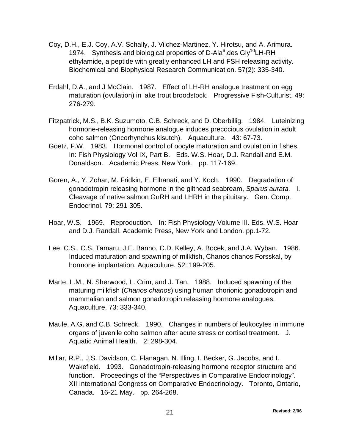- Coy, D.H., E.J. Coy, A.V. Schally, J. Vilchez-Martinez, Y. Hirotsu, and A. Arimura. 1974. Synthesis and biological properties of D-Ala<sup>6</sup>, des Gly<sup>10</sup>LH-RH ethylamide, a peptide with greatly enhanced LH and FSH releasing activity. Biochemical and Biophysical Research Communication. 57(2): 335-340.
- Erdahl, D.A., and J McClain. 1987. Effect of LH-RH analogue treatment on egg maturation (ovulation) in lake trout broodstock. Progressive Fish-Culturist. 49: 276-279.
- Fitzpatrick, M.S., B.K. Suzumoto, C.B. Schreck, and D. Oberbillig. 1984. Luteinizing hormone-releasing hormone analogue induces precocious ovulation in adult coho salmon (Oncorhynchus kisutch). Aquaculture. 43: 67-73.
- Goetz, F.W. 1983. Hormonal control of oocyte maturation and ovulation in fishes. In: Fish Physiology Vol IX, Part B. Eds. W.S. Hoar, D.J. Randall and E.M. Donaldson. Academic Press, New York. pp. 117-169.
- Goren, A., Y. Zohar, M. Fridkin, E. Elhanati, and Y. Koch. 1990. Degradation of gonadotropin releasing hormone in the gilthead seabream, *Sparus aurata.* I. Cleavage of native salmon GnRH and LHRH in the pituitary. Gen. Comp. Endocrinol. 79: 291-305.
- Hoar, W.S. 1969. Reproduction. In: Fish Physiology Volume III. Eds. W.S. Hoar and D.J. Randall. Academic Press, New York and London. pp.1-72.
- Lee, C.S., C.S. Tamaru, J.E. Banno, C.D. Kelley, A. Bocek, and J.A. Wyban. 1986. Induced maturation and spawning of milkfish, Chanos chanos Forsskal, by hormone implantation. Aquaculture. 52: 199-205.
- Marte, L.M., N. Sherwood, L. Crim, and J. Tan. 1988. Induced spawning of the maturing milkfish (*Chanos chanos*) using human chorionic gonadotropin and mammalian and salmon gonadotropin releasing hormone analogues. Aquaculture. 73: 333-340.
- Maule, A.G. and C.B. Schreck. 1990. Changes in numbers of leukocytes in immune organs of juvenile coho salmon after acute stress or cortisol treatment. J. Aquatic Animal Health. 2: 298-304.
- Millar, R.P., J.S. Davidson, C. Flanagan, N. Illing, I. Becker, G. Jacobs, and I. Wakefield. 1993. Gonadotropin-releasing hormone receptor structure and function. Proceedings of the "Perspectives in Comparative Endocrinology". XII International Congress on Comparative Endocrinology. Toronto, Ontario, Canada. 16-21 May. pp. 264-268.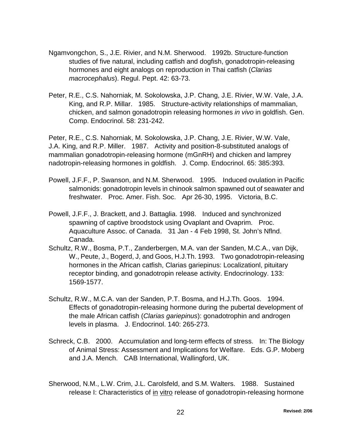- Ngamvongchon, S., J.E. Rivier, and N.M. Sherwood. 1992b. Structure-function studies of five natural, including catfish and dogfish, gonadotropin-releasing hormones and eight analogs on reproduction in Thai catfish (*Clarias macrocephalus*). Regul. Pept. 42: 63-73.
- Peter, R.E., C.S. Nahorniak, M. Sokolowska, J.P. Chang, J.E. Rivier, W.W. Vale, J.A. King, and R.P. Millar. 1985. Structure-activity relationships of mammalian, chicken, and salmon gonadotropin releasing hormones *in vivo* in goldfish. Gen. Comp. Endocrinol. 58: 231-242.

Peter, R.E., C.S. Nahorniak, M. Sokolowska, J.P. Chang, J.E. Rivier, W.W. Vale, J.A. King, and R.P. Miller. 1987. Activity and position-8-substituted analogs of mammalian gonadotropin-releasing hormone (mGnRH) and chicken and lamprey nadotropin-releasing hormones in goldfish. J. Comp. Endocrinol. 65: 385:393.

- Powell, J.F.F., P. Swanson, and N.M. Sherwood. 1995. Induced ovulation in Pacific salmonids: gonadotropin levels in chinook salmon spawned out of seawater and freshwater. Proc. Amer. Fish. Soc. Apr 26-30, 1995. Victoria, B.C.
- Powell, J.F.F., J. Brackett, and J. Battaglia. 1998. Induced and synchronized spawning of captive broodstock using Ovaplant and Ovaprim. Proc. Aquaculture Assoc. of Canada. 31 Jan - 4 Feb 1998, St. John's Nflnd. Canada.
- Schultz, R.W., Bosma, P.T., Zanderbergen, M.A. van der Sanden, M.C.A., van Dijk, W., Peute, J., Bogerd, J, and Goos, H.J.Th. 1993. Two gonadotropin-releasing hormones in the African catfish, Clarias gariepinus: Localizationl, pituitary receptor binding, and gonadotropin release activity. Endocrinology. 133: 1569-1577.
- Schultz, R.W., M.C.A. van der Sanden, P.T. Bosma, and H.J.Th. Goos. 1994. Effects of gonadotropin-releasing hormone during the pubertal development of the male African catfish (*Clarias gariepinus*): gonadotrophin and androgen levels in plasma. J. Endocrinol. 140: 265-273.
- Schreck, C.B. 2000. Accumulation and long-term effects of stress. In: The Biology of Animal Stress: Assessment and Implications for Welfare. Eds. G.P. Moberg and J.A. Mench. CAB International, Wallingford, UK.
- Sherwood, N.M., L.W. Crim, J.L. Carolsfeld, and S.M. Walters. 1988. Sustained release I: Characteristics of in vitro release of gonadotropin-releasing hormone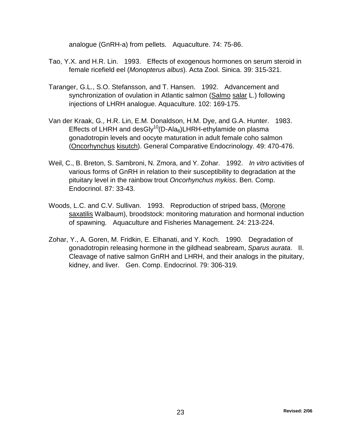analogue (GnRH-a) from pellets. Aquaculture. 74: 75-86.

- Tao, Y.X. and H.R. Lin. 1993. Effects of exogenous hormones on serum steroid in female ricefield eel (*Monopterus albus*). Acta Zool. Sinica. 39: 315-321.
- Taranger, G.L., S.O. Stefansson, and T. Hansen. 1992. Advancement and synchronization of ovulation in Atlantic salmon (Salmo salar L.) following injections of LHRH analogue. Aquaculture. 102: 169-175.
- Van der Kraak, G., H.R. Lin, E.M. Donaldson, H.M. Dye, and G.A. Hunter. 1983. Effects of LHRH and desGly $^{10}$ (D-Ala $_6$ )LHRH-ethylamide on plasma gonadotropin levels and oocyte maturation in adult female coho salmon (Oncorhynchus kisutch). General Comparative Endocrinology. 49: 470-476.
- Weil, C., B. Breton, S. Sambroni, N. Zmora, and Y. Zohar. 1992. *In vitro* activities of various forms of GnRH in relation to their susceptibility to degradation at the pituitary level in the rainbow trout *Oncorhynchus mykiss*. Ben. Comp. Endocrinol. 87: 33-43.
- Woods, L.C. and C.V. Sullivan. 1993. Reproduction of striped bass, (Morone saxatilis Walbaum), broodstock: monitoring maturation and hormonal induction of spawning. Aquaculture and Fisheries Management. 24: 213-224.
- Zohar, Y., A. Goren, M. Fridkin, E. Elhanati, and Y. Koch. 1990. Degradation of gonadotropin releasing hormone in the gildhead seabream, *Sparus aurata*. II. Cleavage of native salmon GnRH and LHRH, and their analogs in the pituitary, kidney, and liver. Gen. Comp. Endocrinol. 79: 306-319.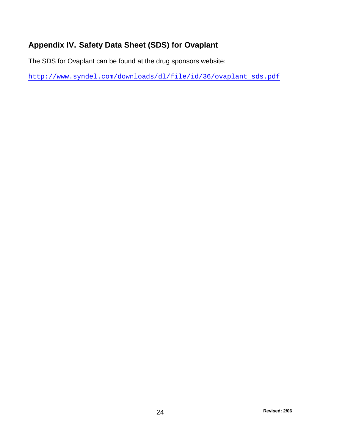# <span id="page-24-0"></span>**Appendix IV. Safety Data Sheet (SDS) for Ovaplant**

The SDS for Ovaplant can be found at the drug sponsors website:

[http://www.syndel.com/downloads/dl/file/id/36/ovaplant\\_sds.pdf](http://www.syndel.com/downloads/dl/file/id/36/ovaplant_sds.pdf)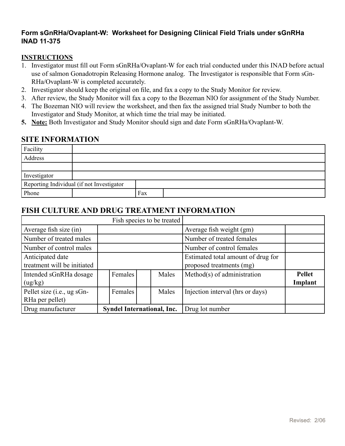### <span id="page-25-0"></span>**Form sGnRHa/Ovaplant-W: Worksheet for Designing Clinical Field Trials under sGnRHa INAD 11-375**

#### **INSTRUCTIONS**

- 1. Investigator must fill out Form sGnRHa/Ovaplant-W for each trial conducted under this INAD before actual use of salmon Gonadotropin Releasing Hormone analog. The Investigator is responsible that Form sGn-RHa/Ovaplant-W is completed accurately.
- 2. Investigator should keep the original on file, and fax a copy to the Study Monitor for review.
- 3. After review, the Study Monitor will fax a copy to the Bozeman NIO for assignment of the Study Number.
- 4. The Bozeman NIO will review the worksheet, and then fax the assigned trial Study Number to both the Investigator and Study Monitor, at which time the trial may be initiated.
- **5. Note:** Both Investigator and Study Monitor should sign and date Form sGnRHa/Ovaplant-W.

#### **SITE INFORMATION**

| Facility                                  |  |     |  |
|-------------------------------------------|--|-----|--|
| Address                                   |  |     |  |
|                                           |  |     |  |
| Investigator                              |  |     |  |
| Reporting Individual (if not Investigator |  |     |  |
| Phone                                     |  | Fax |  |

## **FISH CULTURE AND DRUG TREATMENT INFORMATION**

|                                                 | Fish species to be treated        |  |       |                                                                |                          |
|-------------------------------------------------|-----------------------------------|--|-------|----------------------------------------------------------------|--------------------------|
| Average fish size (in)                          |                                   |  |       | Average fish weight (gm)                                       |                          |
| Number of treated males                         |                                   |  |       | Number of treated females                                      |                          |
| Number of control males                         |                                   |  |       | Number of control females                                      |                          |
| Anticipated date<br>treatment will be initiated |                                   |  |       | Estimated total amount of drug for<br>proposed treatments (mg) |                          |
| Intended sGnRHa dosage<br>(ug/kg)               | Females                           |  | Males | Method(s) of administration                                    | <b>Pellet</b><br>Implant |
| Pellet size (i.e., ug sGn-<br>RHa per pellet)   | Females                           |  | Males | Injection interval (hrs or days)                               |                          |
| Drug manufacturer                               | <b>Syndel International, Inc.</b> |  |       | Drug lot number                                                |                          |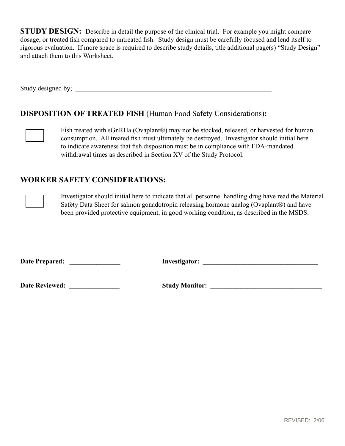**STUDY DESIGN:** Describe in detail the purpose of the clinical trial. For example you might compare dosage, or treated fish compared to untreated fish. Study design must be carefully focused and lend itself to rigorous evaluation. If more space is required to describe study details, title additional page(s) "Study Design" and attach them to this Worksheet.

Study designed by; \_\_\_\_\_\_\_\_\_\_\_\_\_\_\_\_\_\_\_\_\_\_\_\_\_\_\_\_\_\_\_\_\_\_\_\_\_\_\_\_\_\_\_\_\_\_\_\_\_\_\_\_\_\_\_\_\_\_

## **DISPOSITION OF TREATED FISH** (Human Food Safety Considerations)**:**



Fish treated with sGnRHa (Ovaplant®) may not be stocked, released, or harvested for human consumption. All treated fish must ultimately be destroyed. Investigator should initial here to indicate awareness that fish disposition must be in compliance with FDA-mandated withdrawal times as described in Section XV of the Study Protocol.

## **WORKER SAFETY CONSIDERATIONS:**



Investigator should initial here to indicate that all personnel handling drug have read the Material Safety Data Sheet for salmon gonadotropin releasing hormone analog (Ovaplant®) and have been provided protective equipment, in good working condition, as described in the MSDS.

**Date Prepared: \_\_\_\_\_\_\_\_\_\_\_\_\_\_\_ Investigator: \_\_\_\_\_\_\_\_\_\_\_\_\_\_\_\_\_\_\_\_\_\_\_\_\_\_\_\_\_\_\_\_\_\_**

**Date Reviewed: \_\_\_\_\_\_\_\_\_\_\_\_\_\_\_ Study Monitor: \_\_\_\_\_\_\_\_\_\_\_\_\_\_\_\_\_\_\_\_\_\_\_\_\_\_\_\_\_\_\_\_\_**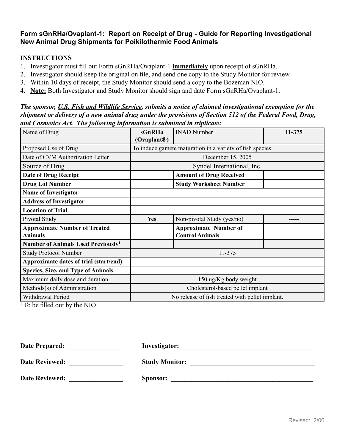### <span id="page-27-0"></span>**Form sGnRHa/Ovaplant-1: Report on Receipt of Drug - Guide for Reporting Investigational New Animal Drug Shipments for Poikilothermic Food Animals**

#### **INSTRUCTIONS**

- 1. Investigator must fill out Form sGnRHa/Ovaplant-1 **immediately** upon receipt of sGnRHa.
- 2. Investigator should keep the original on file, and send one copy to the Study Monitor for review.
- 3. Within 10 days of receipt, the Study Monitor should send a copy to the Bozeman NIO.
- **4. Note:** Both Investigator and Study Monitor should sign and date Form sGnRHa/Ovaplant-1.

#### *The sponsor, U.S. Fish and Wildlife Service, submits a notice of claimed investigational exemption for the shipment or delivery of a new animal drug under the provisions of Section 512 of the Federal Food, Drug, and Cosmetics Act. The following information is submitted in triplicate:*

| Name of Drug                                   | sGnRHa                           | <b>INAD Number</b>                                        | 11-375 |  |  |  |  |
|------------------------------------------------|----------------------------------|-----------------------------------------------------------|--------|--|--|--|--|
|                                                | (Ovaplant <sup>®</sup> )         |                                                           |        |  |  |  |  |
| Proposed Use of Drug                           |                                  | To induce gamete maturation in a variety of fish species. |        |  |  |  |  |
| Date of CVM Authorization Letter               |                                  | December 15, 2005                                         |        |  |  |  |  |
| Source of Drug                                 |                                  | Syndel International, Inc.                                |        |  |  |  |  |
| <b>Date of Drug Receipt</b>                    |                                  | <b>Amount of Drug Received</b>                            |        |  |  |  |  |
| <b>Drug Lot Number</b>                         |                                  | <b>Study Worksheet Number</b>                             |        |  |  |  |  |
| <b>Name of Investigator</b>                    |                                  |                                                           |        |  |  |  |  |
| <b>Address of Investigator</b>                 |                                  |                                                           |        |  |  |  |  |
| <b>Location of Trial</b>                       |                                  |                                                           |        |  |  |  |  |
| Pivotal Study                                  | <b>Yes</b>                       | Non-pivotal Study (yes/no)                                |        |  |  |  |  |
| <b>Approximate Number of Treated</b>           |                                  | <b>Approximate Number of</b>                              |        |  |  |  |  |
| <b>Animals</b>                                 |                                  | <b>Control Animals</b>                                    |        |  |  |  |  |
| Number of Animals Used Previously <sup>1</sup> |                                  |                                                           |        |  |  |  |  |
| <b>Study Protocol Number</b>                   |                                  | 11-375                                                    |        |  |  |  |  |
| Approximate dates of trial (start/end)         |                                  |                                                           |        |  |  |  |  |
| <b>Species, Size, and Type of Animals</b>      |                                  |                                                           |        |  |  |  |  |
| Maximum daily dose and duration                |                                  | 150 ug/Kg body weight                                     |        |  |  |  |  |
| Methods(s) of Administration                   | Cholesterol-based pellet implant |                                                           |        |  |  |  |  |
| Withdrawal Period                              |                                  | No release of fish treated with pellet implant.           |        |  |  |  |  |

1 To be filled out by the NIO

| <b>Date Prepared:</b> | Investigator:         |
|-----------------------|-----------------------|
| <b>Date Reviewed:</b> | <b>Study Monitor:</b> |
| <b>Date Reviewed:</b> | Sponsor:              |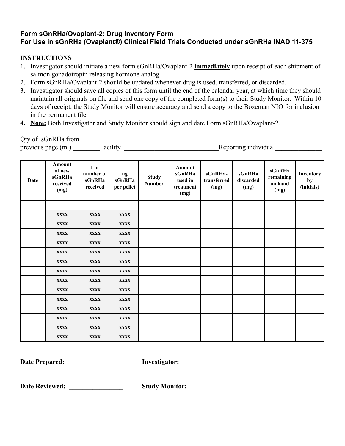## <span id="page-28-0"></span>**Form sGnRHa/Ovaplant-2: Drug Inventory Form For Use in sGnRHa (Ovaplant®) Clinical Field Trials Conducted under sGnRHa INAD 11-375**

## **INSTRUCTIONS**

- 1. Investigator should initiate a new form sGnRHa/Ovaplant-2 **immediately** upon receipt of each shipment of salmon gonadotropin releasing hormone analog.
- 2. Form sGnRHa/Ovaplant-2 should be updated whenever drug is used, transferred, or discarded.
- 3. Investigator should save all copies of this form until the end of the calendar year, at which time they should maintain all originals on file and send one copy of the completed form(s) to their Study Monitor. Within 10 days of receipt, the Study Monitor will ensure accuracy and send a copy to the Bozeman NIO for inclusion in the permanent file.
- **4. Note:** Both Investigator and Study Monitor should sign and date Form sGnRHa/Ovaplant-2.

#### Qty of sGnRHa from

previous page (ml) \_\_\_\_\_\_\_\_Facility \_\_\_\_\_\_\_\_\_\_\_\_\_\_\_\_\_\_\_\_\_\_\_\_\_\_\_\_Reporting individual\_\_\_\_\_\_\_\_\_\_\_\_\_\_

| <b>Date</b> | Amount<br>of new<br>sGnRHa<br>received<br>(mg) | Lot<br>number of<br>sGnRHa<br>received | ug<br>sGnRHa<br>per pellet | <b>Study</b><br><b>Number</b> | Amount<br>sGnRHa<br>used in<br>treatment<br>(mg) | sGnRHa-<br>transferred<br>(mg) | sGnRHa<br>discarded<br>(mg) | sGnRHa<br>remaining<br>on hand<br>(mg) | Inventory<br>by<br>(initials) |
|-------------|------------------------------------------------|----------------------------------------|----------------------------|-------------------------------|--------------------------------------------------|--------------------------------|-----------------------------|----------------------------------------|-------------------------------|
|             |                                                |                                        |                            |                               |                                                  |                                |                             |                                        |                               |
|             | <b>XXXX</b>                                    | <b>XXXX</b>                            | <b>XXXX</b>                |                               |                                                  |                                |                             |                                        |                               |
|             | <b>XXXX</b>                                    | <b>XXXX</b>                            | <b>XXXX</b>                |                               |                                                  |                                |                             |                                        |                               |
|             | <b>XXXX</b>                                    | <b>XXXX</b>                            | <b>XXXX</b>                |                               |                                                  |                                |                             |                                        |                               |
|             | <b>XXXX</b>                                    | <b>XXXX</b>                            | <b>XXXX</b>                |                               |                                                  |                                |                             |                                        |                               |
|             | XXXX                                           | <b>XXXX</b>                            | <b>XXXX</b>                |                               |                                                  |                                |                             |                                        |                               |
|             | <b>XXXX</b>                                    | <b>XXXX</b>                            | <b>XXXX</b>                |                               |                                                  |                                |                             |                                        |                               |
|             | <b>XXXX</b>                                    | <b>XXXX</b>                            | <b>XXXX</b>                |                               |                                                  |                                |                             |                                        |                               |
|             | <b>XXXX</b>                                    | <b>XXXX</b>                            | <b>XXXX</b>                |                               |                                                  |                                |                             |                                        |                               |
|             | <b>XXXX</b>                                    | <b>XXXX</b>                            | <b>XXXX</b>                |                               |                                                  |                                |                             |                                        |                               |
|             | <b>XXXX</b>                                    | <b>XXXX</b>                            | <b>XXXX</b>                |                               |                                                  |                                |                             |                                        |                               |
|             | <b>XXXX</b>                                    | <b>XXXX</b>                            | <b>XXXX</b>                |                               |                                                  |                                |                             |                                        |                               |
|             | <b>XXXX</b>                                    | <b>XXXX</b>                            | <b>XXXX</b>                |                               |                                                  |                                |                             |                                        |                               |
|             | <b>XXXX</b>                                    | <b>XXXX</b>                            | <b>XXXX</b>                |                               |                                                  |                                |                             |                                        |                               |
|             | <b>XXXX</b>                                    | <b>XXXX</b>                            | <b>XXXX</b>                |                               |                                                  |                                |                             |                                        |                               |

**Date Prepared: \_\_\_\_\_\_\_\_\_\_\_\_\_\_\_\_ Investigator: \_\_\_\_\_\_\_\_\_\_\_\_\_\_\_\_\_\_\_\_\_\_\_\_\_\_\_\_\_\_\_\_\_\_\_\_\_\_\_\_**

**Date Reviewed: \_\_\_\_\_\_\_\_\_\_\_\_\_\_\_\_ Study Monitor:** \_\_\_\_\_\_\_\_\_\_\_\_\_\_\_\_\_\_\_\_\_\_\_\_\_\_\_\_\_\_\_\_\_\_\_\_\_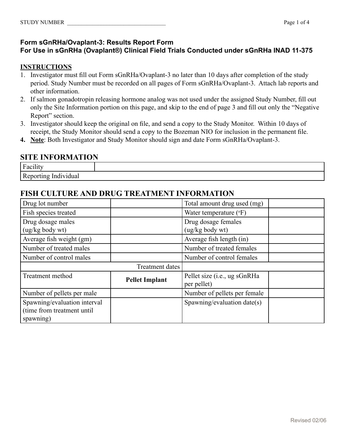#### <span id="page-29-0"></span>**Form sGnRHa/Ovaplant-3: Results Report Form**

### **For Use in sGnRHa (Ovaplant®) Clinical Field Trials Conducted under sGnRHa INAD 11-375**

#### **INSTRUCTIONS**

- 1. Investigator must fill out Form sGnRHa/Ovaplant-3 no later than 10 days after completion of the study period. Study Number must be recorded on all pages of Form sGnRHa/Ovaplant-3. Attach lab reports and other information.
- 2. If salmon gonadotropin releasing hormone analog was not used under the assigned Study Number, fill out only the Site Information portion on this page, and skip to the end of page 3 and fill out only the "Negative Report" section.
- 3. Investigator should keep the original on file, and send a copy to the Study Monitor. Within 10 days of receipt, the Study Monitor should send a copy to the Bozeman NIO for inclusion in the permanent file.
- **4. Note**: Both Investigator and Study Monitor should sign and date Form sGnRHa/Ovaplant-3.

#### **SITE INFORMATION**

| $\cdots$<br>$\mathbf{r}$<br>acili<br>$\mathbf{r}$          |  |
|------------------------------------------------------------|--|
| la v za zak<br>'idual<br>na<br>سمبرابابابابابر<br><br>---- |  |

## **FISH CULTURE AND DRUG TREATMENT INFORMATION**

| Drug lot number                                                         |                       | Total amount drug used (mg)                 |  |
|-------------------------------------------------------------------------|-----------------------|---------------------------------------------|--|
| Fish species treated                                                    |                       | Water temperature $({}^{\circ}F)$           |  |
| Drug dosage males<br>(ug/kg body wt)                                    |                       | Drug dosage females<br>$(ug/kg$ body wt $)$ |  |
| Average fish weight (gm)                                                |                       | Average fish length (in)                    |  |
| Number of treated males                                                 |                       | Number of treated females                   |  |
| Number of control males                                                 |                       | Number of control females                   |  |
|                                                                         | Treatment dates       |                                             |  |
| Treatment method                                                        | <b>Pellet Implant</b> | Pellet size (i.e., ug sGnRHa<br>per pellet) |  |
| Number of pellets per male                                              |                       | Number of pellets per female                |  |
| Spawning/evaluation interval<br>(time from treatment until<br>spawning) |                       | Spawning/evaluation date(s)                 |  |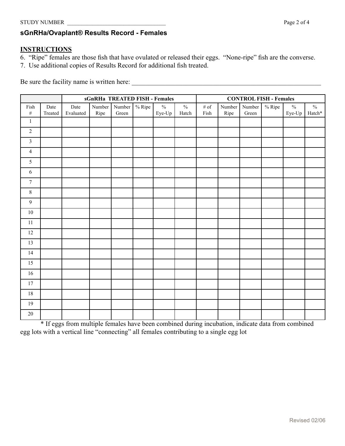## <span id="page-30-0"></span>**sGnRHa/Ovaplant® Results Record - Females**

#### **INSTRUCTIONS**

- 6. "Ripe" females are those fish that have ovulated or released their eggs. "None-ripe" fish are the converse.
- 7. Use additional copies of Results Record for additional fish treated.

Be sure the facility name is written here: \_\_\_\_\_\_\_\_\_\_\_\_\_\_\_\_\_\_\_\_\_\_\_\_\_\_\_\_\_\_\_\_\_\_\_\_\_\_\_\_\_\_\_\_\_\_\_\_\_\_\_\_\_\_\_\_

|                  |                 | sGnRHa TREATED FISH - Females |                         |                 |        |                         | <b>CONTROL FISH - Females</b> |                 |                |                          |           |                         |                |
|------------------|-----------------|-------------------------------|-------------------------|-----------------|--------|-------------------------|-------------------------------|-----------------|----------------|--------------------------|-----------|-------------------------|----------------|
| Fish<br>$\#$     | Date<br>Treated | Date<br>Evaluated             | $\hbox{Number}$<br>Ripe | Number<br>Green | % Ripe | $\frac{0}{0}$<br>Eye-Up | $\%$<br>Hatch                 | $\#$ of<br>Fish | Number<br>Ripe | $\hbox{Number}$<br>Green | $\%$ Ripe | $\frac{0}{0}$<br>Eye-Up | $\%$<br>Hatch* |
| $\mathbf{1}$     |                 |                               |                         |                 |        |                         |                               |                 |                |                          |           |                         |                |
| $\boldsymbol{2}$ |                 |                               |                         |                 |        |                         |                               |                 |                |                          |           |                         |                |
| $\mathfrak{Z}$   |                 |                               |                         |                 |        |                         |                               |                 |                |                          |           |                         |                |
| $\overline{4}$   |                 |                               |                         |                 |        |                         |                               |                 |                |                          |           |                         |                |
| 5                |                 |                               |                         |                 |        |                         |                               |                 |                |                          |           |                         |                |
| 6                |                 |                               |                         |                 |        |                         |                               |                 |                |                          |           |                         |                |
| $\boldsymbol{7}$ |                 |                               |                         |                 |        |                         |                               |                 |                |                          |           |                         |                |
| $8\,$            |                 |                               |                         |                 |        |                         |                               |                 |                |                          |           |                         |                |
| 9                |                 |                               |                         |                 |        |                         |                               |                 |                |                          |           |                         |                |
| $10\,$           |                 |                               |                         |                 |        |                         |                               |                 |                |                          |           |                         |                |
| 11               |                 |                               |                         |                 |        |                         |                               |                 |                |                          |           |                         |                |
| 12               |                 |                               |                         |                 |        |                         |                               |                 |                |                          |           |                         |                |
| 13               |                 |                               |                         |                 |        |                         |                               |                 |                |                          |           |                         |                |
| 14               |                 |                               |                         |                 |        |                         |                               |                 |                |                          |           |                         |                |
| 15               |                 |                               |                         |                 |        |                         |                               |                 |                |                          |           |                         |                |
| $16\,$           |                 |                               |                         |                 |        |                         |                               |                 |                |                          |           |                         |                |
| 17               |                 |                               |                         |                 |        |                         |                               |                 |                |                          |           |                         |                |
| $18\,$           |                 |                               |                         |                 |        |                         |                               |                 |                |                          |           |                         |                |
| 19               |                 |                               |                         |                 |        |                         |                               |                 |                |                          |           |                         |                |
| $20\,$           |                 |                               |                         |                 |        |                         |                               |                 |                |                          |           |                         |                |

\* If eggs from multiple females have been combined during incubation, indicate data from combined egg lots with a vertical line "connecting" all females contributing to a single egg lot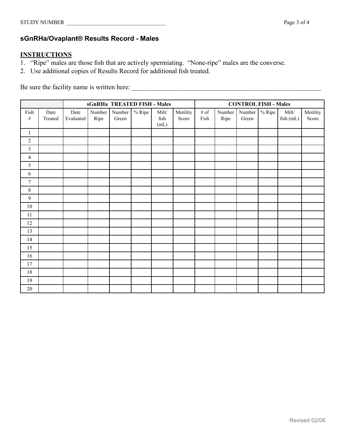### <span id="page-31-0"></span>**sGnRHa/Ovaplant® Results Record - Males**

## **INSTRUCTIONS**

- 1. "Ripe" males are those fish that are actively spermiating. "None-ripe" males are the converse.
- 2. Use additional copies of Results Record for additional fish treated.

Be sure the facility name is written here: \_\_\_\_\_\_\_\_\_\_\_\_\_\_\_\_\_\_\_\_\_\_\_\_\_\_\_\_\_\_\_\_\_\_\_\_\_\_\_\_\_\_\_\_\_\_\_\_\_\_\_\_\_\_\_\_

|                  |                 |                   | sGnRHa TREATED FISH - Males |                 |          |                                       |                   |              | <b>CONTROL FISH - Males</b> |                 |        |                    |                   |
|------------------|-----------------|-------------------|-----------------------------|-----------------|----------|---------------------------------------|-------------------|--------------|-----------------------------|-----------------|--------|--------------------|-------------------|
| Fish<br>$\#$     | Date<br>Treated | Date<br>Evaluated | Number<br>Ripe              | Number<br>Green | $%$ Ripe | $\text{Milt}/\text{}$<br>fish<br>(mL) | Motility<br>Score | # of<br>Fish | Number<br>Ripe              | Number<br>Green | % Ripe | Milt/<br>fish (mL) | Motility<br>Score |
| $\mathbf{1}$     |                 |                   |                             |                 |          |                                       |                   |              |                             |                 |        |                    |                   |
| $\sqrt{2}$       |                 |                   |                             |                 |          |                                       |                   |              |                             |                 |        |                    |                   |
| $\mathfrak{Z}$   |                 |                   |                             |                 |          |                                       |                   |              |                             |                 |        |                    |                   |
| $\overline{4}$   |                 |                   |                             |                 |          |                                       |                   |              |                             |                 |        |                    |                   |
| 5                |                 |                   |                             |                 |          |                                       |                   |              |                             |                 |        |                    |                   |
| $\sqrt{6}$       |                 |                   |                             |                 |          |                                       |                   |              |                             |                 |        |                    |                   |
| $\boldsymbol{7}$ |                 |                   |                             |                 |          |                                       |                   |              |                             |                 |        |                    |                   |
| $\,8\,$          |                 |                   |                             |                 |          |                                       |                   |              |                             |                 |        |                    |                   |
| $\overline{9}$   |                 |                   |                             |                 |          |                                       |                   |              |                             |                 |        |                    |                   |
| $10\,$           |                 |                   |                             |                 |          |                                       |                   |              |                             |                 |        |                    |                   |
| 11               |                 |                   |                             |                 |          |                                       |                   |              |                             |                 |        |                    |                   |
| 12               |                 |                   |                             |                 |          |                                       |                   |              |                             |                 |        |                    |                   |
| 13               |                 |                   |                             |                 |          |                                       |                   |              |                             |                 |        |                    |                   |
| 14               |                 |                   |                             |                 |          |                                       |                   |              |                             |                 |        |                    |                   |
| 15               |                 |                   |                             |                 |          |                                       |                   |              |                             |                 |        |                    |                   |
| 16               |                 |                   |                             |                 |          |                                       |                   |              |                             |                 |        |                    |                   |
| 17               |                 |                   |                             |                 |          |                                       |                   |              |                             |                 |        |                    |                   |
| $18\,$           |                 |                   |                             |                 |          |                                       |                   |              |                             |                 |        |                    |                   |
| 19               |                 |                   |                             |                 |          |                                       |                   |              |                             |                 |        |                    |                   |
| $20\,$           |                 |                   |                             |                 |          |                                       |                   |              |                             |                 |        |                    |                   |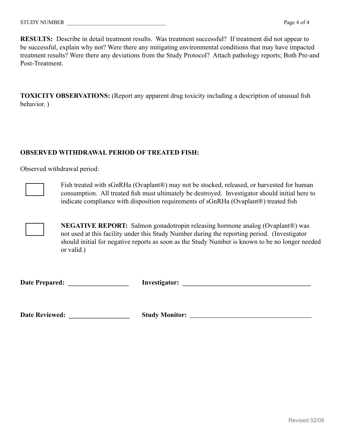**RESULTS:** Describe in detail treatment results. Was treatment successful? If treatment did not appear to be successful, explain why not? Were there any mitigating environmental conditions that may have impacted treatment results? Were there any deviations from the Study Protocol? Attach pathology reports; Both Pre-and Post-Treatment.

**TOXICITY OBSERVATIONS:** (Report any apparent drug toxicity including a description of unusual fish behavior. )

#### **OBSERVED WITHDRAWAL PERIOD OF TREATED FISH:**

Observed withdrawal period:



Fish treated with sGnRHa (Ovaplant®) may not be stocked, released, or harvested for human consumption. All treated fish must ultimately be destroyed. Investigator should initial here to indicate compliance with disposition requirements of sGnRHa (Ovaplant®) treated fish

 **NEGATIVE REPORT:** Salmon gonadotropin releasing hormone analog (Ovaplant®) was not used at this facility under this Study Number during the reporting period. (Investigator should initial for negative reports as soon as the Study Number is known to be no longer needed or valid.)

| <b>Date Prepared:</b> | Investigator: |  |
|-----------------------|---------------|--|
|-----------------------|---------------|--|

**Date Reviewed: \_\_\_\_\_\_\_\_\_\_\_\_\_\_\_\_\_\_ Study Monitor:** \_\_\_\_\_\_\_\_\_\_\_\_\_\_\_\_\_\_\_\_\_\_\_\_\_\_\_\_\_\_\_\_\_\_\_\_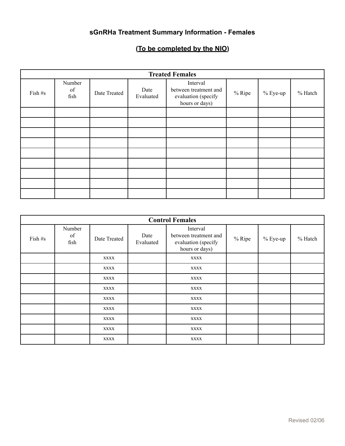## **sGnRHa Treatment Summary Information - Females**

# **(To be completed by the NIO)**

|         | <b>Treated Females</b> |              |                                                                                                 |  |        |            |         |  |  |  |
|---------|------------------------|--------------|-------------------------------------------------------------------------------------------------|--|--------|------------|---------|--|--|--|
| Fish #s | Number<br>of<br>fish   | Date Treated | Interval<br>between treatment and<br>Date<br>Evaluated<br>evaluation (specify<br>hours or days) |  | % Ripe | $% Eye-up$ | % Hatch |  |  |  |
|         |                        |              |                                                                                                 |  |        |            |         |  |  |  |
|         |                        |              |                                                                                                 |  |        |            |         |  |  |  |
|         |                        |              |                                                                                                 |  |        |            |         |  |  |  |
|         |                        |              |                                                                                                 |  |        |            |         |  |  |  |
|         |                        |              |                                                                                                 |  |        |            |         |  |  |  |
|         |                        |              |                                                                                                 |  |        |            |         |  |  |  |
|         |                        |              |                                                                                                 |  |        |            |         |  |  |  |
|         |                        |              |                                                                                                 |  |        |            |         |  |  |  |
|         |                        |              |                                                                                                 |  |        |            |         |  |  |  |

| <b>Control Females</b> |                      |                                   |  |                                                                            |        |             |         |  |
|------------------------|----------------------|-----------------------------------|--|----------------------------------------------------------------------------|--------|-------------|---------|--|
| Fish #s                | Number<br>of<br>fish | Date<br>Date Treated<br>Evaluated |  | Interval<br>between treatment and<br>evaluation (specify<br>hours or days) | % Ripe | $\%$ Eye-up | % Hatch |  |
|                        |                      | <b>XXXX</b>                       |  | <b>XXXX</b>                                                                |        |             |         |  |
|                        |                      | <b>XXXX</b>                       |  | <b>XXXX</b>                                                                |        |             |         |  |
|                        |                      | <b>XXXX</b>                       |  | <b>XXXX</b>                                                                |        |             |         |  |
|                        |                      | <b>XXXX</b>                       |  | <b>XXXX</b>                                                                |        |             |         |  |
|                        |                      | <b>XXXX</b>                       |  | <b>XXXX</b>                                                                |        |             |         |  |
|                        |                      | <b>XXXX</b>                       |  | <b>XXXX</b>                                                                |        |             |         |  |
|                        |                      | <b>XXXX</b>                       |  | <b>XXXX</b>                                                                |        |             |         |  |
|                        |                      | <b>XXXX</b>                       |  | XXXX                                                                       |        |             |         |  |
|                        |                      | <b>XXXX</b>                       |  | <b>XXXX</b>                                                                |        |             |         |  |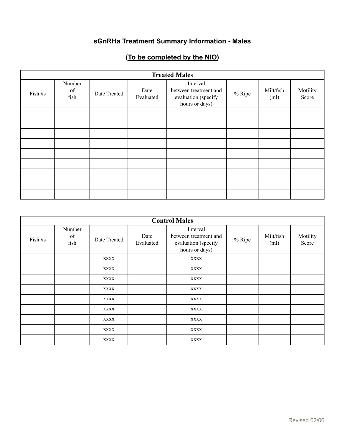## **sGnRHa Treatment Summary Information - Males**

# **(To be completed by the NIO)**

| <b>Treated Males</b> |                      |              |                   |                                                                            |        |                   |                   |  |  |
|----------------------|----------------------|--------------|-------------------|----------------------------------------------------------------------------|--------|-------------------|-------------------|--|--|
| Fish #s              | Number<br>of<br>fish | Date Treated | Date<br>Evaluated | Interval<br>between treatment and<br>evaluation (specify<br>hours or days) | % Ripe | Milt/fish<br>(ml) | Motility<br>Score |  |  |
|                      |                      |              |                   |                                                                            |        |                   |                   |  |  |
|                      |                      |              |                   |                                                                            |        |                   |                   |  |  |
|                      |                      |              |                   |                                                                            |        |                   |                   |  |  |
|                      |                      |              |                   |                                                                            |        |                   |                   |  |  |
|                      |                      |              |                   |                                                                            |        |                   |                   |  |  |
|                      |                      |              |                   |                                                                            |        |                   |                   |  |  |
|                      |                      |              |                   |                                                                            |        |                   |                   |  |  |
|                      |                      |              |                   |                                                                            |        |                   |                   |  |  |
|                      |                      |              |                   |                                                                            |        |                   |                   |  |  |

| <b>Control Males</b> |                      |              |                   |                                                                            |  |                   |                   |  |
|----------------------|----------------------|--------------|-------------------|----------------------------------------------------------------------------|--|-------------------|-------------------|--|
| Fish #s              | Number<br>of<br>fish | Date Treated | Date<br>Evaluated | Interval<br>between treatment and<br>evaluation (specify<br>hours or days) |  | Milt/fish<br>(ml) | Motility<br>Score |  |
|                      |                      | <b>XXXX</b>  |                   | <b>XXXX</b>                                                                |  |                   |                   |  |
|                      |                      | <b>XXXX</b>  |                   | <b>XXXX</b>                                                                |  |                   |                   |  |
|                      |                      | <b>XXXX</b>  |                   | <b>XXXX</b>                                                                |  |                   |                   |  |
|                      |                      | <b>XXXX</b>  |                   | <b>XXXX</b>                                                                |  |                   |                   |  |
|                      |                      | <b>XXXX</b>  |                   | <b>XXXX</b>                                                                |  |                   |                   |  |
|                      |                      | <b>XXXX</b>  |                   | <b>XXXX</b>                                                                |  |                   |                   |  |
|                      |                      | <b>XXXX</b>  |                   | <b>XXXX</b>                                                                |  |                   |                   |  |
|                      |                      | <b>XXXX</b>  |                   | <b>XXXX</b>                                                                |  |                   |                   |  |
|                      |                      | <b>XXXX</b>  |                   | <b>XXXX</b>                                                                |  |                   |                   |  |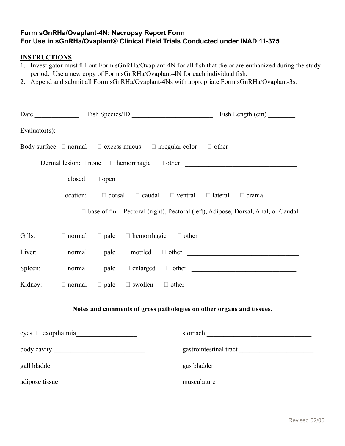#### <span id="page-35-0"></span>**Form sGnRHa/Ovaplant-4N: Necropsy Report Form For Use in sGnRHa/Ovaplant® Clinical Field Trials Conducted under INAD 11-375**

#### **INSTRUCTIONS**

- 1. Investigator must fill out Form sGnRHa/Ovaplant-4N for all fish that die or are euthanized during the study period. Use a new copy of Form sGnRHa/Ovaplant-4N for each individual fish.
- 2. Append and submit all Form sGnRHa/Ovaplant-4Ns with appropriate Form sGnRHa/Ovaplant-3s.

|                         | Date Fish Species/ID Fish Length (cm) |             |                               |  |                                                                          |                                                                                     |
|-------------------------|---------------------------------------|-------------|-------------------------------|--|--------------------------------------------------------------------------|-------------------------------------------------------------------------------------|
|                         |                                       |             | Evaluator(s): $\qquad \qquad$ |  |                                                                          |                                                                                     |
|                         |                                       |             |                               |  |                                                                          | Body surface: $\Box$ normal $\Box$ excess mucus $\Box$ irregular color $\Box$ other |
|                         |                                       |             |                               |  |                                                                          |                                                                                     |
|                         | $\Box$ closed $\Box$ open             |             |                               |  |                                                                          |                                                                                     |
|                         | Location:                             |             |                               |  | $\Box$ dorsal $\Box$ caudal $\Box$ ventral $\Box$ lateral $\Box$ cranial |                                                                                     |
|                         |                                       |             |                               |  |                                                                          | □ base of fin - Pectoral (right), Pectoral (left), Adipose, Dorsal, Anal, or Caudal |
| Gills:                  | $\Box$ normal                         |             |                               |  |                                                                          |                                                                                     |
| Liver:                  | $\Box$ normal                         | $\Box$ pale |                               |  |                                                                          |                                                                                     |
| Spleen:                 | $\Box$ normal                         |             |                               |  |                                                                          |                                                                                     |
| Kidney:                 | $\Box$ normal                         |             |                               |  |                                                                          |                                                                                     |
|                         |                                       |             |                               |  | Notes and comments of gross pathologies on other organs and tissues.     |                                                                                     |
| $eyes \Box exopthalmia$ |                                       |             |                               |  |                                                                          |                                                                                     |
|                         |                                       |             |                               |  |                                                                          |                                                                                     |
|                         |                                       |             |                               |  |                                                                          |                                                                                     |
|                         |                                       |             |                               |  |                                                                          | musculature                                                                         |